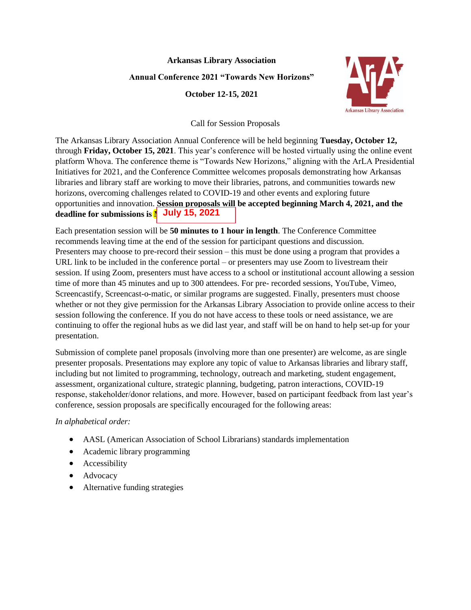## **Arkansas Library Association**

## **Annual Conference 2021 "Towards New Horizons"**

**October 12-15, 2021**



Call for Session Proposals

The Arkansas Library Association Annual Conference will be held beginning **Tuesday, October 12,**  through **Friday, October 15, 2021**. This year's conference will be hosted virtually using the online event platform Whova. The conference theme is "Towards New Horizons," aligning with the ArLA Presidential Initiatives for 2021, and the Conference Committee welcomes proposals demonstrating how Arkansas libraries and library staff are working to move their libraries, patrons, and communities towards new horizons, overcoming challenges related to COVID-19 and other events and exploring future opportunities and innovation. **Session proposals will be accepted beginning March 4, 2021, and the deadline for submissions is May 31, 2021. July 15, 2021**

Each presentation session will be **50 minutes to 1 hour in length**. The Conference Committee recommends leaving time at the end of the session for participant questions and discussion. Presenters may choose to pre-record their session – this must be done using a program that provides a URL link to be included in the conference portal – or presenters may use Zoom to livestream their session. If using Zoom, presenters must have access to a school or institutional account allowing a session time of more than 45 minutes and up to 300 attendees. For pre- recorded sessions, YouTube, Vimeo, Screencastify, Screencast-o-matic, or similar programs are suggested. Finally, presenters must choose whether or not they give permission for the Arkansas Library Association to provide online access to their session following the conference. If you do not have access to these tools or need assistance, we are continuing to offer the regional hubs as we did last year, and staff will be on hand to help set-up for your presentation.

Submission of complete panel proposals (involving more than one presenter) are welcome, as are single presenter proposals. Presentations may explore any topic of value to Arkansas libraries and library staff, including but not limited to programming, technology, outreach and marketing, student engagement, assessment, organizational culture, strategic planning, budgeting, patron interactions, COVID-19 response, stakeholder/donor relations, and more. However, based on participant feedback from last year's conference, session proposals are specifically encouraged for the following areas:

*In alphabetical order:*

- AASL (American Association of School Librarians) standards implementation
- Academic library programming
- Accessibility
- Advocacy
- Alternative funding strategies